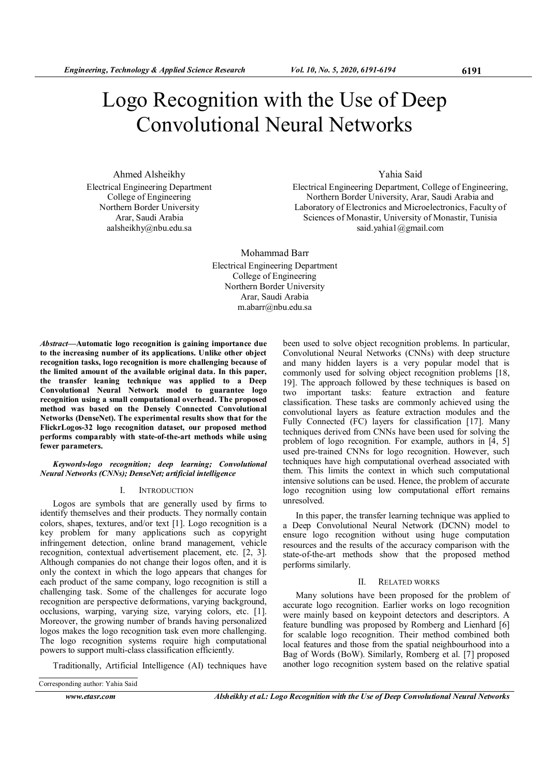# Logo Recognition with the Use of Deep Convolutional Neural Networks

Ahmed Alsheikhy Electrical Engineering Department College of Engineering Northern Border University Arar, Saudi Arabia aalsheikhy@nbu.edu.sa

# Yahia Said

Electrical Engineering Department, College of Engineering, Northern Border University, Arar, Saudi Arabia and Laboratory of Electronics and Microelectronics, Faculty of Sciences of Monastir, University of Monastir, Tunisia said.yahia1@gmail.com

Mohammad Barr Electrical Engineering Department College of Engineering Northern Border University Arar, Saudi Arabia m.abarr@nbu.edu.sa

Abstract—Automatic logo recognition is gaining importance due to the increasing number of its applications. Unlike other object recognition tasks, logo recognition is more challenging because of the limited amount of the available original data. In this paper, the transfer leaning technique was applied to a Deep Convolutional Neural Network model to guarantee logo recognition using a small computational overhead. The proposed method was based on the Densely Connected Convolutional Networks (DenseNet). The experimental results show that for the FlickrLogos-32 logo recognition dataset, our proposed method performs comparably with state-of-the-art methods while using fewer parameters.

#### Keywords-logo recognition; deep learning; Convolutional Neural Networks (CNNs); DenseNet; artificial intelligence

# I. INTRODUCTION

Logos are symbols that are generally used by firms to identify themselves and their products. They normally contain colors, shapes, textures, and/or text [1]. Logo recognition is a key problem for many applications such as copyright infringement detection, online brand management, vehicle recognition, contextual advertisement placement, etc. [2, 3]. Although companies do not change their logos often, and it is only the context in which the logo appears that changes for each product of the same company, logo recognition is still a challenging task. Some of the challenges for accurate logo recognition are perspective deformations, varying background, occlusions, warping, varying size, varying colors, etc. [1]. Moreover, the growing number of brands having personalized logos makes the logo recognition task even more challenging. The logo recognition systems require high computational powers to support multi-class classification efficiently.

Traditionally, Artificial Intelligence (AI) techniques have

Corresponding author: Yahia Said

been used to solve object recognition problems. In particular, Convolutional Neural Networks (CNNs) with deep structure and many hidden layers is a very popular model that is commonly used for solving object recognition problems [18, 19]. The approach followed by these techniques is based on two important tasks: feature extraction and feature classification. These tasks are commonly achieved using the convolutional layers as feature extraction modules and the Fully Connected (FC) layers for classification [17]. Many techniques derived from CNNs have been used for solving the problem of logo recognition. For example, authors in [4, 5] used pre-trained CNNs for logo recognition. However, such techniques have high computational overhead associated with them. This limits the context in which such computational intensive solutions can be used. Hence, the problem of accurate logo recognition using low computational effort remains unresolved.

In this paper, the transfer learning technique was applied to a Deep Convolutional Neural Network (DCNN) model to ensure logo recognition without using huge computation resources and the results of the accuracy comparison with the state-of-the-art methods show that the proposed method performs similarly.

## II. RELATED WORKS

Many solutions have been proposed for the problem of accurate logo recognition. Earlier works on logo recognition were mainly based on keypoint detectors and descriptors. A feature bundling was proposed by Romberg and Lienhard [6] for scalable logo recognition. Their method combined both local features and those from the spatial neighbourhood into a Bag of Words (BoW). Similarly, Romberg et al. [7] proposed another logo recognition system based on the relative spatial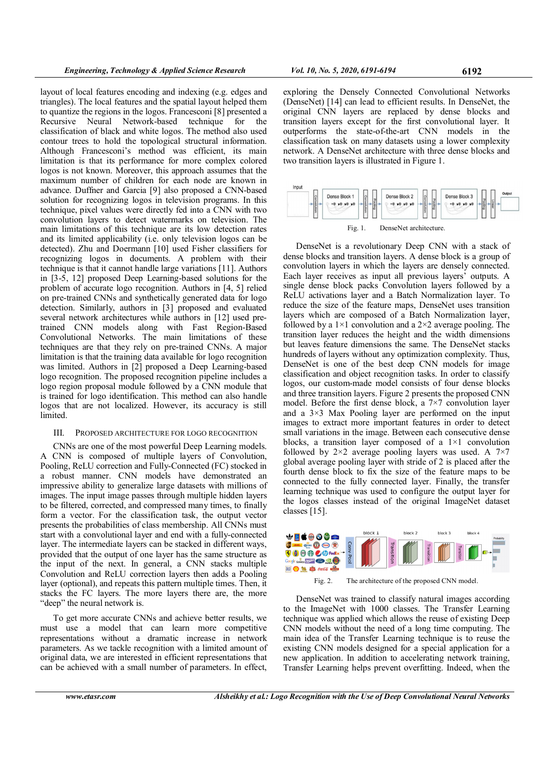layout of local features encoding and indexing (e.g. edges and triangles). The local features and the spatial layout helped them to quantize the regions in the logos. Francesconi [8] presented a Recursive Neural Network-based technique for the classification of black and white logos. The method also used contour trees to hold the topological structural information. Although Francesconi's method was efficient, its main limitation is that its performance for more complex colored logos is not known. Moreover, this approach assumes that the maximum number of children for each node are known in advance. Duffner and Garcia [9] also proposed a CNN-based solution for recognizing logos in television programs. In this technique, pixel values were directly fed into a CNN with two convolution layers to detect watermarks on television. The main limitations of this technique are its low detection rates and its limited applicability (i.e. only television logos can be detected). Zhu and Doermann [10] used Fisher classifiers for recognizing logos in documents. A problem with their technique is that it cannot handle large variations [11]. Authors in [3-5, 12] proposed Deep Learning-based solutions for the problem of accurate logo recognition. Authors in [4, 5] relied on pre-trained CNNs and synthetically generated data for logo detection. Similarly, authors in [3] proposed and evaluated several network architectures while authors in [12] used pretrained CNN models along with Fast Region-Based Convolutional Networks. The main limitations of these techniques are that they rely on pre-trained CNNs. A major limitation is that the training data available for logo recognition was limited. Authors in [2] proposed a Deep Learning-based logo recognition. The proposed recognition pipeline includes a logo region proposal module followed by a CNN module that is trained for logo identification. This method can also handle logos that are not localized. However, its accuracy is still limited.

### III. PROPOSED ARCHITECTURE FOR LOGO RECOGNITION

CNNs are one of the most powerful Deep Learning models. A CNN is composed of multiple layers of Convolution, Pooling, ReLU correction and Fully-Connected (FC) stocked in a robust manner. CNN models have demonstrated an impressive ability to generalize large datasets with millions of images. The input image passes through multiple hidden layers to be filtered, corrected, and compressed many times, to finally form a vector. For the classification task, the output vector presents the probabilities of class membership. All CNNs must start with a convolutional layer and end with a fully-connected layer. The intermediate layers can be stacked in different ways, provided that the output of one layer has the same structure as the input of the next. In general, a CNN stacks multiple Convolution and ReLU correction layers then adds a Pooling layer (optional), and repeats this pattern multiple times. Then, it stacks the FC layers. The more layers there are, the more "deep" the neural network is.

To get more accurate CNNs and achieve better results, we must use a model that can learn more competitive representations without a dramatic increase in network parameters. As we tackle recognition with a limited amount of original data, we are interested in efficient representations that can be achieved with a small number of parameters. In effect,

exploring the Densely Connected Convolutional Networks (DenseNet) [14] can lead to efficient results. In DenseNet, the original CNN layers are replaced by dense blocks and transition layers except for the first convolutional layer. It outperforms the state-of-the-art CNN models in the classification task on many datasets using a lower complexity network. A DenseNet architecture with three dense blocks and two transition layers is illustrated in Figure 1.



Fig. 1. DenseNet architecture.

DenseNet is a revolutionary Deep CNN with a stack of dense blocks and transition layers. A dense block is a group of convolution layers in which the layers are densely connected. Each layer receives as input all previous layers' outputs. A single dense block packs Convolution layers followed by a ReLU activations layer and a Batch Normalization layer. To reduce the size of the feature maps, DenseNet uses transition layers which are composed of a Batch Normalization layer, followed by a  $1\times1$  convolution and a  $2\times2$  average pooling. The transition layer reduces the height and the width dimensions but leaves feature dimensions the same. The DenseNet stacks hundreds of layers without any optimization complexity. Thus, DenseNet is one of the best deep CNN models for image classification and object recognition tasks. In order to classify logos, our custom-made model consists of four dense blocks and three transition layers. Figure 2 presents the proposed CNN model. Before the first dense block, a 7×7 convolution layer and a 3×3 Max Pooling layer are performed on the input images to extract more important features in order to detect small variations in the image. Between each consecutive dense blocks, a transition layer composed of a  $1\times1$  convolution followed by  $2\times 2$  average pooling layers was used. A  $7\times 7$ global average pooling layer with stride of 2 is placed after the fourth dense block to fix the size of the feature maps to be connected to the fully connected layer. Finally, the transfer learning technique was used to configure the output layer for the logos classes instead of the original ImageNet dataset classes [15].



Fig. 2. The architecture of the proposed CNN model.

DenseNet was trained to classify natural images according to the ImageNet with 1000 classes. The Transfer Learning technique was applied which allows the reuse of existing Deep CNN models without the need of a long time computing. The main idea of the Transfer Learning technique is to reuse the existing CNN models designed for a special application for a new application. In addition to accelerating network training, Transfer Learning helps prevent overfitting. Indeed, when the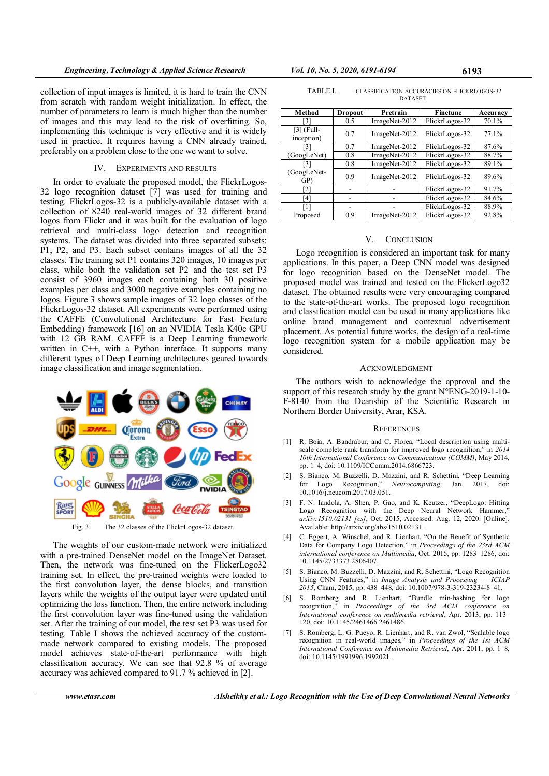collection of input images is limited, it is hard to train the CNN from scratch with random weight initialization. In effect, the number of parameters to learn is much higher than the number of images and this may lead to the risk of overfitting. So, implementing this technique is very effective and it is widely used in practice. It requires having a CNN already trained, preferably on a problem close to the one we want to solve.

# IV. EXPERIMENTS AND RESULTS

In order to evaluate the proposed model, the FlickrLogos-32 logo recognition dataset [7] was used for training and testing. FlickrLogos-32 is a publicly-available dataset with a collection of 8240 real-world images of 32 different brand logos from Flickr and it was built for the evaluation of logo retrieval and multi-class logo detection and recognition systems. The dataset was divided into three separated subsets: P1, P2, and P3. Each subset contains images of all the 32 classes. The training set P1 contains 320 images, 10 images per class, while both the validation set P2 and the test set P3 consist of 3960 images each containing both 30 positive examples per class and 3000 negative examples containing no logos. Figure 3 shows sample images of 32 logo classes of the FlickrLogos-32 dataset. All experiments were performed using the CAFFE (Convolutional Architecture for Fast Feature Embedding) framework [16] on an NVIDIA Tesla K40c GPU with 12 GB RAM. CAFFE is a Deep Learning framework written in C++, with a Python interface. It supports many different types of Deep Learning architectures geared towards image classification and image segmentation.



The weights of our custom-made network were initialized with a pre-trained DenseNet model on the ImageNet Dataset. Then, the network was fine-tuned on the FlickerLogo32 training set. In effect, the pre-trained weights were loaded to the first convolution layer, the dense blocks, and transition layers while the weights of the output layer were updated until optimizing the loss function. Then, the entire network including the first convolution layer was fine-tuned using the validation set. After the training of our model, the test set P3 was used for testing. Table I shows the achieved accuracy of the custommade network compared to existing models. The proposed model achieves state-of-the-art performance with high classification accuracy. We can see that 92.8 % of average accuracy was achieved compared to 91.7 % achieved in [2].

| TABLE I. | CLASSIFICATION ACCURACIES ON FLICKRLOGOS-32 |
|----------|---------------------------------------------|
|          | <b>DATASET</b>                              |

| Method                     | <b>Dropout</b> | Pretrain      | Finetune       | Accuracy |
|----------------------------|----------------|---------------|----------------|----------|
| [3]                        | 0.5            | ImageNet-2012 | FlickrLogos-32 | 70.1%    |
| $[3]$ (Full-<br>inception) | 0.7            | ImageNet-2012 | FlickrLogos-32 | 77.1%    |
| [3]                        | 0.7            | ImageNet-2012 | FlickrLogos-32 | 87.6%    |
| (GoogLeNet)                | 0.8            | ImageNet-2012 | FlickrLogos-32 | 88.7%    |
| [3]                        | 0.8            | ImageNet-2012 | FlickrLogos-32 | 89.1%    |
| (GoogLeNet-<br>GP)         | 0.9            | ImageNet-2012 | FlickrLogos-32 | 89.6%    |
| $\lceil 2 \rceil$          |                |               | FlickrLogos-32 | 91.7%    |
| [4]                        |                |               | FlickrLogos-32 | 84.6%    |
| [1]                        |                |               | FlickrLogos-32 | 88.9%    |
| Proposed                   | 0.9            | ImageNet-2012 | FlickrLogos-32 | 92.8%    |

#### V. CONCLUSION

Logo recognition is considered an important task for many applications. In this paper, a Deep CNN model was designed for logo recognition based on the DenseNet model. The proposed model was trained and tested on the FlickerLogo32 dataset. The obtained results were very encouraging compared to the state-of-the-art works. The proposed logo recognition and classification model can be used in many applications like online brand management and contextual advertisement placement. As potential future works, the design of a real-time logo recognition system for a mobile application may be considered.

#### ACKNOWLEDGMENT

The authors wish to acknowledge the approval and the support of this research study by the grant N°ENG-2019-1-10-F-8140 from the Deanship of the Scientific Research in Northern Border University, Arar, KSA.

#### **REFERENCES**

- [1] R. Boia, A. Bandrabur, and C. Florea, "Local description using multiscale complete rank transform for improved logo recognition," in 2014 10th International Conference on Communications (COMM), May 2014, pp. 1–4, doi: 10.1109/ICComm.2014.6866723.
- [2] S. Bianco, M. Buzzelli, D. Mazzini, and R. Schettini, "Deep Learning for Logo Recognition," Neurocomputing, Jan. 2017, doi: 10.1016/j.neucom.2017.03.051.
- [3] F. N. Iandola, A. Shen, P. Gao, and K. Keutzer, "DeepLogo: Hitting Logo Recognition with the Deep Neural Network Hammer," arXiv:1510.02131 [cs], Oct. 2015, Accessed: Aug. 12, 2020. [Online]. Available: http://arxiv.org/abs/1510.02131.
- C. Eggert, A. Winschel, and R. Lienhart, "On the Benefit of Synthetic Data for Company Logo Detection," in Proceedings of the 23rd ACM international conference on Multimedia, Oct. 2015, pp. 1283–1286, doi: 10.1145/2733373.2806407.
- [5] S. Bianco, M. Buzzelli, D. Mazzini, and R. Schettini, "Logo Recognition<br>Using CNN Features" in *Image Analysis and Processing ICIAP* Using CNN Features," in Image Analysis and Processing -2015, Cham, 2015, pp. 438-448, doi: 10.1007/978-3-319-23234-8\_41.
- [6] S. Romberg and R. Lienhart, "Bundle min-hashing for logo recognition," in Proceedings of the 3rd ACM conference on International conference on multimedia retrieval, Apr. 2013, pp. 113– 120, doi: 10.1145/2461466.2461486.
- [7] S. Romberg, L. G. Pueyo, R. Lienhart, and R. van Zwol, "Scalable logo recognition in real-world images," in Proceedings of the 1st ACM International Conference on Multimedia Retrieval, Apr. 2011, pp. 1–8, doi: 10.1145/1991996.1992021.